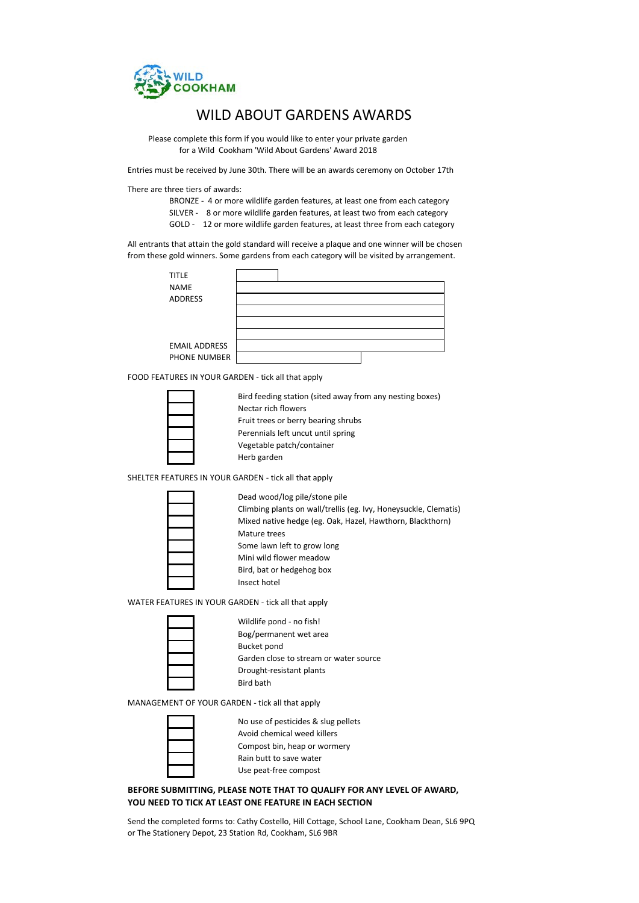

## WILD ABOUT GARDENS AWARDS

 Please complete this form if you would like to enter your private garden for a Wild Cookham 'Wild About Gardens' Award 2018

Entries must be received by June 30th. There will be an awards ceremony on October 17th

There are three tiers of awards:

BRONZE - 4 or more wildlife garden features, at least one from each category SILVER - 8 or more wildlife garden features, at least two from each category

GOLD - 12 or more wildlife garden features, at least three from each category

All entrants that attain the gold standard will receive a plaque and one winner will be chosen from these gold winners. Some gardens from each category will be visited by arrangement.



FOOD FEATURES IN YOUR GARDEN - tick all that apply

Bird feeding station (sited away from any nesting boxes) Nectar rich flowers Fruit trees or berry bearing shrubs Perennials left uncut until spring Vegetable patch/container Herb garden

SHELTER FEATURES IN YOUR GARDEN - tick all that apply

Dead wood/log pile/stone pile Climbing plants on wall/trellis (eg. Ivy, Honeysuckle, Clematis) Mixed native hedge (eg. Oak, Hazel, Hawthorn, Blackthorn) Mature trees Some lawn left to grow long Mini wild flower meadow Bird, bat or hedgehog box Insect hotel

WATER FEATURES IN YOUR GARDEN - tick all that apply



| Wildlife pond - no fish!               |
|----------------------------------------|
| Bog/permanent wet area                 |
| Bucket pond                            |
| Garden close to stream or water source |
| Drought-resistant plants               |
| <b>Bird bath</b>                       |
|                                        |

MANAGEMENT OF YOUR GARDEN - tick all that apply

No use of pesticides & slug pellets Avoid chemical weed killers Compost bin, heap or wormery Rain butt to save water Use peat-free compost

## **BEFORE SUBMITTING, PLEASE NOTE THAT TO QUALIFY FOR ANY LEVEL OF AWARD, YOU NEED TO TICK AT LEAST ONE FEATURE IN EACH SECTION**

Send the completed forms to: Cathy Costello, Hill Cottage, School Lane, Cookham Dean, SL6 9PQ or The Stationery Depot, 23 Station Rd, Cookham, SL6 9BR